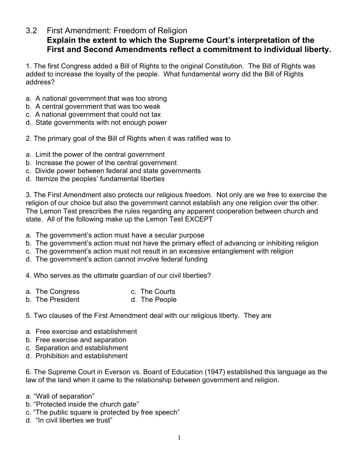## 3.2 First Amendment: Freedom of Religion **Explain the extent to which the Supreme Court's interpretation of the First and Second Amendments reflect a commitment to individual liberty.**

1. The first Congress added a Bill of Rights to the original Constitution. The Bill of Rights was added to increase the loyalty of the people. What fundamental worry did the Bill of Rights address?

- a. A national government that was too strong
- b. A central government that was too weak
- c. A national government that could not tax
- d. State governments with not enough power
- 2. The primary goal of the Bill of Rights when it was ratified was to
- a. Limit the power of the central government
- b. Increase the power of the central government
- c. Divide power between federal and state governments
- d. Itemize the peoples' fundamental liberties

3. The First Amendment also protects our religious freedom. Not only are we free to exercise the religion of our choice but also the government cannot establish any one religion over the other. The Lemon Test prescribes the rules regarding any apparent cooperation between church and state. All of the following make up the Lemon Test EXCEPT

- a. The government's action must have a secular purpose
- b. The government's action must not have the primary effect of advancing or inhibiting religion
- c. The government's action must not result in an excessive entanglement with religion
- d. The government's action cannot involve federal funding

4. Who serves as the ultimate guardian of our civil liberties?

- a. The Congress c. The Courts
- b. The President d. The People
- 5. Two clauses of the First Amendment deal with our religious liberty. They are
- a. Free exercise and establishment
- b. Free exercise and separation
- c. Separation and establishment
- d. Prohibition and establishment

6. The Supreme Court in Everson vs. Board of Education (1947) established this language as the law of the land when it came to the relationship between government and religion.

- a. "Wall of separation"
- b. "Protected inside the church gate"
- c. "The public square is protected by free speech"
- d. "In civil liberties we trust"